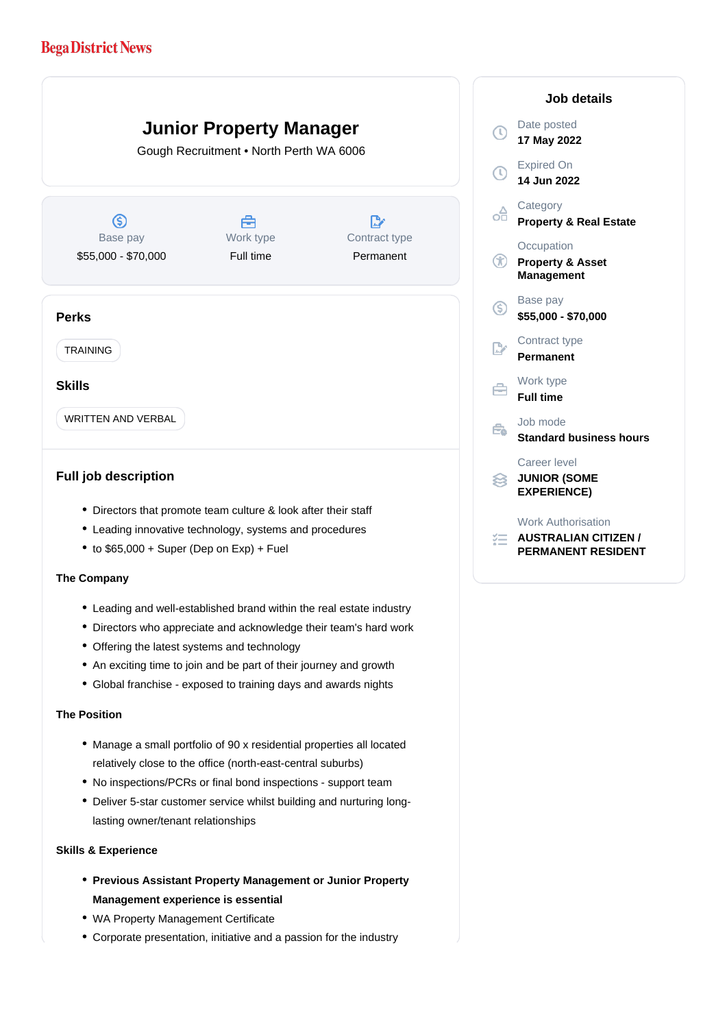# **Bega District News**

**Junior Property Manager**

Gough Recruitment • North Perth WA 6006

 $\circledS$ Base pay

\$55,000 - \$70,000

Å Work type Full time

 $\mathbb{R}^n$ Contract type Permanent

## **Perks**

TRAINING

## **Skills**

WRITTEN AND VERBAL

# **Full job description**

- Directors that promote team culture & look after their staff
- Leading innovative technology, systems and procedures
- $\bullet$  to \$65,000 + Super (Dep on Exp) + Fuel

#### **The Company**

- Leading and well-established brand within the real estate industry
- Directors who appreciate and acknowledge their team's hard work
- Offering the latest systems and technology
- An exciting time to join and be part of their journey and growth
- Global franchise exposed to training days and awards nights

# **The Position**

- Manage a small portfolio of 90 x residential properties all located relatively close to the office (north-east-central suburbs)
- No inspections/PCRs or final bond inspections support team
- Deliver 5-star customer service whilst building and nurturing longlasting owner/tenant relationships

#### **Skills & Experience**

- **Previous Assistant Property Management or Junior Property Management experience is essential**
- WA Property Management Certificate
- Corporate presentation, initiative and a passion for the industry

## **Job details** Date posted  $\mathbb{C}$ **17 May 2022** Expired On Œ **14 Jun 2022 Category** oĦ **Property & Real Estate Occupation**  $\circledR$ **Property & Asset Management** Base pay <sub>(S)</sub> **\$55,000 - \$70,000** Contract type **Permanent** Work type A **Full time** Job mode  $\bigoplus$ **Standard business hours** Career level **JUNIOR (SOME EXPERIENCE)** Work Authorisation *AUSTRALIAN CITIZEN /* **PERMANENT RESIDENT**